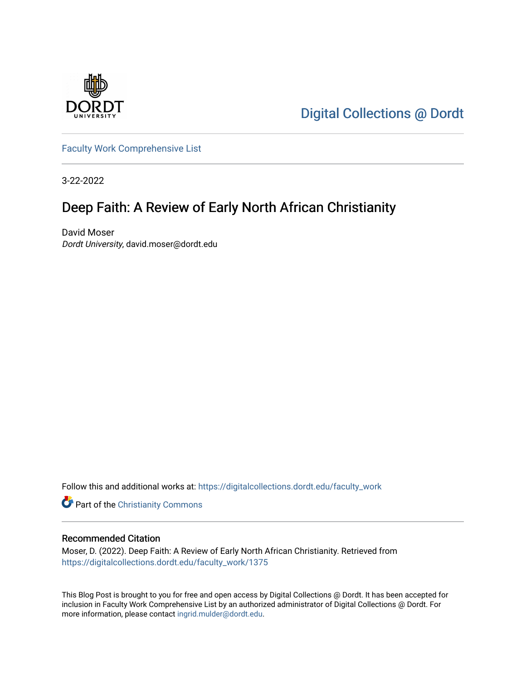

[Digital Collections @ Dordt](https://digitalcollections.dordt.edu/) 

[Faculty Work Comprehensive List](https://digitalcollections.dordt.edu/faculty_work)

3-22-2022

## Deep Faith: A Review of Early North African Christianity

David Moser Dordt University, david.moser@dordt.edu

Follow this and additional works at: [https://digitalcollections.dordt.edu/faculty\\_work](https://digitalcollections.dordt.edu/faculty_work?utm_source=digitalcollections.dordt.edu%2Ffaculty_work%2F1375&utm_medium=PDF&utm_campaign=PDFCoverPages) 

**Part of the Christianity Commons** 

#### Recommended Citation

Moser, D. (2022). Deep Faith: A Review of Early North African Christianity. Retrieved from [https://digitalcollections.dordt.edu/faculty\\_work/1375](https://digitalcollections.dordt.edu/faculty_work/1375?utm_source=digitalcollections.dordt.edu%2Ffaculty_work%2F1375&utm_medium=PDF&utm_campaign=PDFCoverPages)

This Blog Post is brought to you for free and open access by Digital Collections @ Dordt. It has been accepted for inclusion in Faculty Work Comprehensive List by an authorized administrator of Digital Collections @ Dordt. For more information, please contact [ingrid.mulder@dordt.edu.](mailto:ingrid.mulder@dordt.edu)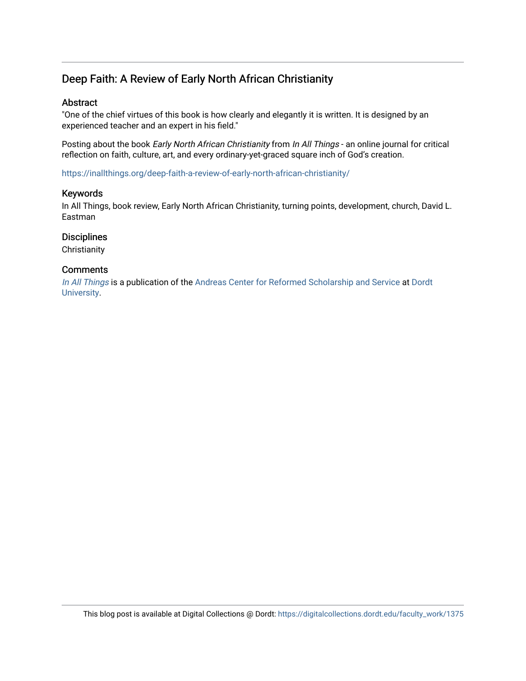### Deep Faith: A Review of Early North African Christianity

#### Abstract

"One of the chief virtues of this book is how clearly and elegantly it is written. It is designed by an experienced teacher and an expert in his field."

Posting about the book Early North African Christianity from In All Things - an online journal for critical reflection on faith, culture, art, and every ordinary-yet-graced square inch of God's creation.

<https://inallthings.org/deep-faith-a-review-of-early-north-african-christianity/>

#### Keywords

In All Things, book review, Early North African Christianity, turning points, development, church, David L. Eastman

#### **Disciplines**

**Christianity** 

#### **Comments**

[In All Things](http://inallthings.org/) is a publication of the [Andreas Center for Reformed Scholarship and Service](http://www.dordt.edu/services_support/andreas_center/) at Dordt [University](http://www.dordt.edu/).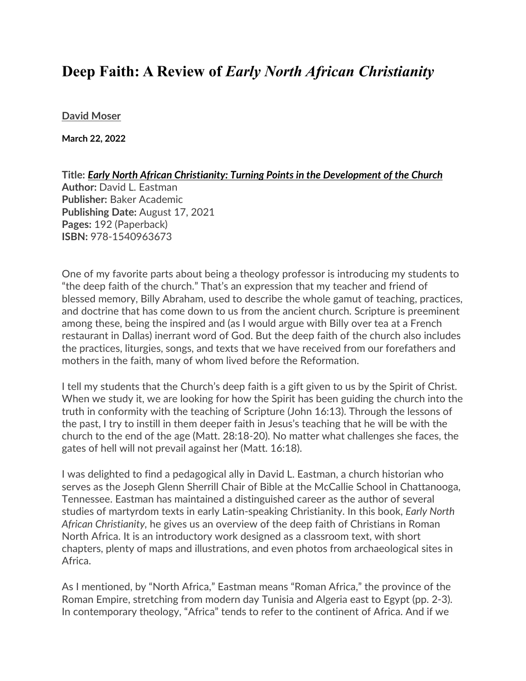# **Deep Faith: A Review of** *Early North African Christianity*

**[David Moser](https://inallthings.org/author/david-moser/)**

**March 22, 2022**

**Title:** *Early North African Christianity: Turning Points in the Development of the Church* **Author:** David L. Eastman **Publisher:** Baker Academic **Publishing Date:** August 17, 2021 **Pages:** 192 (Paperback) **ISBN:** 978-1540963673

One of my favorite parts about being a theology professor is introducing my students to "the deep faith of the church." That's an expression that my teacher and friend of blessed memory, Billy Abraham, used to describe the whole gamut of teaching, practices, and doctrine that has come down to us from the ancient church. Scripture is preeminent among these, being the inspired and (as I would argue with Billy over tea at a French restaurant in Dallas) inerrant word of God. But the deep faith of the church also includes the practices, liturgies, songs, and texts that we have received from our forefathers and mothers in the faith, many of whom lived before the Reformation.

I tell my students that the Church's deep faith is a gift given to us by the Spirit of Christ. When we study it, we are looking for how the Spirit has been guiding the church into the truth in conformity with the teaching of Scripture (John 16:13). Through the lessons of the past, I try to instill in them deeper faith in Jesus's teaching that he will be with the church to the end of the age (Matt. 28:18-20). No matter what challenges she faces, the gates of hell will not prevail against her (Matt. 16:18).

I was delighted to find a pedagogical ally in David L. Eastman, a church historian who serves as the Joseph Glenn Sherrill Chair of Bible at the McCallie School in Chattanooga, Tennessee. Eastman has maintained a distinguished career as the author of several studies of martyrdom texts in early Latin-speaking Christianity. In this book, *Early North African Christianity,* he gives us an overview of the deep faith of Christians in Roman North Africa. It is an introductory work designed as a classroom text, with short chapters, plenty of maps and illustrations, and even photos from archaeological sites in Africa.

As I mentioned, by "North Africa," Eastman means "Roman Africa," the province of the Roman Empire, stretching from modern day Tunisia and Algeria east to Egypt (pp. 2-3). In contemporary theology, "Africa" tends to refer to the continent of Africa. And if we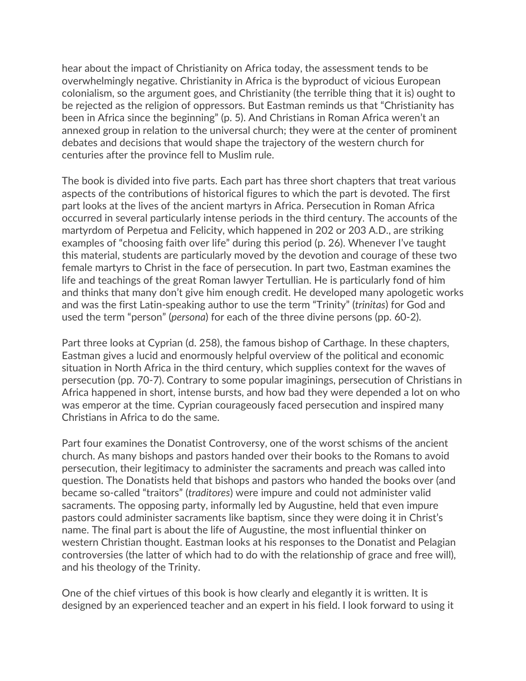hear about the impact of Christianity on Africa today, the assessment tends to be overwhelmingly negative. Christianity in Africa is the byproduct of vicious European colonialism, so the argument goes, and Christianity (the terrible thing that it is) ought to be rejected as the religion of oppressors. But Eastman reminds us that "Christianity has been in Africa since the beginning" (p. 5). And Christians in Roman Africa weren't an annexed group in relation to the universal church; they were at the center of prominent debates and decisions that would shape the trajectory of the western church for centuries after the province fell to Muslim rule.

The book is divided into five parts. Each part has three short chapters that treat various aspects of the contributions of historical figures to which the part is devoted. The first part looks at the lives of the ancient martyrs in Africa. Persecution in Roman Africa occurred in several particularly intense periods in the third century. The accounts of the martyrdom of Perpetua and Felicity, which happened in 202 or 203 A.D., are striking examples of "choosing faith over life" during this period (p. 26). Whenever I've taught this material, students are particularly moved by the devotion and courage of these two female martyrs to Christ in the face of persecution. In part two, Eastman examines the life and teachings of the great Roman lawyer Tertullian. He is particularly fond of him and thinks that many don't give him enough credit. He developed many apologetic works and was the first Latin-speaking author to use the term "Trinity" (*trinitas*) for God and used the term "person" (*persona*) for each of the three divine persons (pp. 60-2).

Part three looks at Cyprian (d. 258), the famous bishop of Carthage. In these chapters, Eastman gives a lucid and enormously helpful overview of the political and economic situation in North Africa in the third century, which supplies context for the waves of persecution (pp. 70-7). Contrary to some popular imaginings, persecution of Christians in Africa happened in short, intense bursts, and how bad they were depended a lot on who was emperor at the time. Cyprian courageously faced persecution and inspired many Christians in Africa to do the same.

Part four examines the Donatist Controversy, one of the worst schisms of the ancient church. As many bishops and pastors handed over their books to the Romans to avoid persecution, their legitimacy to administer the sacraments and preach was called into question. The Donatists held that bishops and pastors who handed the books over (and became so-called "traitors" (*traditores*) were impure and could not administer valid sacraments. The opposing party, informally led by Augustine, held that even impure pastors could administer sacraments like baptism, since they were doing it in Christ's name. The final part is about the life of Augustine, the most influential thinker on western Christian thought. Eastman looks at his responses to the Donatist and Pelagian controversies (the latter of which had to do with the relationship of grace and free will), and his theology of the Trinity.

One of the chief virtues of this book is how clearly and elegantly it is written. It is designed by an experienced teacher and an expert in his field. I look forward to using it